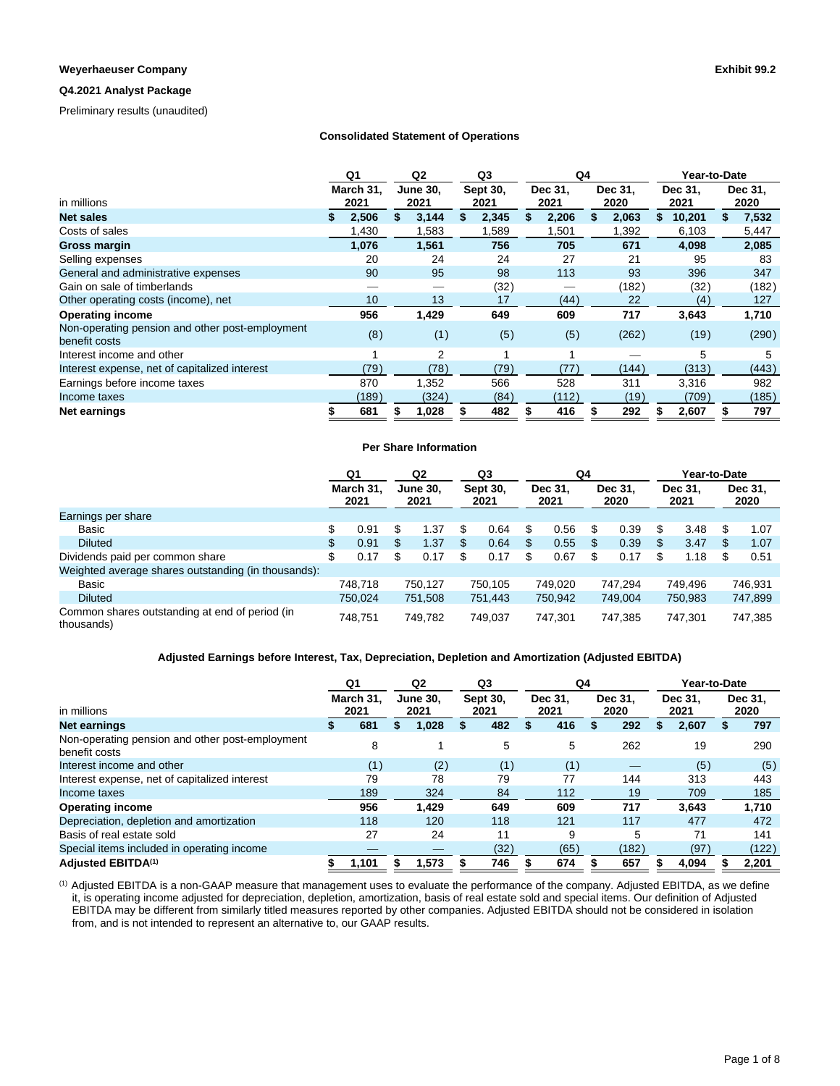## **Weyerhaeuser Company Exhibit 99.2**

## **Q4.2021 Analyst Package**

Preliminary results (unaudited)

## **Consolidated Statement of Operations**

|                                                                  | Q1                | Q2                      | Q3                      | Q4              |                 | Year-to-Date    |                 |
|------------------------------------------------------------------|-------------------|-------------------------|-------------------------|-----------------|-----------------|-----------------|-----------------|
| in millions                                                      | March 31,<br>2021 | <b>June 30.</b><br>2021 | <b>Sept 30.</b><br>2021 | Dec 31,<br>2021 | Dec 31,<br>2020 | Dec 31,<br>2021 | Dec 31.<br>2020 |
| <b>Net sales</b>                                                 | 2,506             | 3,144                   | 2,345                   | 2,206           | 2,063           | 10,201          | 7,532           |
| Costs of sales                                                   | 1,430             | 1,583                   | 1,589                   | 1,501           | 1,392           | 6,103           | 5,447           |
| Gross margin                                                     | 1,076             | 1,561                   | 756                     | 705             | 671             | 4,098           | 2,085           |
| Selling expenses                                                 | 20                | 24                      | 24                      | 27              | 21              | 95              | 83              |
| General and administrative expenses                              | 90                | 95                      | 98                      | 113             | 93              | 396             | 347             |
| Gain on sale of timberlands                                      |                   |                         | (32)                    |                 | (182)           | (32)            | (182)           |
| Other operating costs (income), net                              | 10                | 13                      | 17                      | (44)            | 22              | (4)             | 127             |
| <b>Operating income</b>                                          | 956               | 1,429                   | 649                     | 609             | 717             | 3,643           | 1,710           |
| Non-operating pension and other post-employment<br>benefit costs | (8)               | (1)                     | (5)                     | (5)             | (262)           | (19)            | (290)           |
| Interest income and other                                        |                   | 2                       |                         |                 |                 | 5               | 5               |
| Interest expense, net of capitalized interest                    | (79)              | (78)                    | (79)                    | (77)            | (144)           | (313)           | (443)           |
| Earnings before income taxes                                     | 870               | 1,352                   | 566                     | 528             | 311             | 3,316           | 982             |
| Income taxes                                                     | (189)             | (324)                   | (84)                    | (112)           | (19)            | (709)           | (185)           |
| Net earnings                                                     | 681               | 1,028                   | 482                     | 416             | 292             | 2,607           | 797             |

### **Per Share Information**

|                                                              | Q1                |     | Q2                      | Q3                      |    | Q4              |     |                 | Year-to-Date    |   |                 |
|--------------------------------------------------------------|-------------------|-----|-------------------------|-------------------------|----|-----------------|-----|-----------------|-----------------|---|-----------------|
|                                                              | March 31.<br>2021 |     | <b>June 30.</b><br>2021 | <b>Sept 30.</b><br>2021 |    | Dec 31.<br>2021 |     | Dec 31.<br>2020 | Dec 31.<br>2021 |   | Dec 31.<br>2020 |
| Earnings per share                                           |                   |     |                         |                         |    |                 |     |                 |                 |   |                 |
| Basic                                                        | \$<br>0.91        | \$  | 1.37                    | \$<br>0.64              | S  | 0.56            | \$. | 0.39            | \$<br>3.48      |   | 1.07            |
| <b>Diluted</b>                                               | \$<br>0.91        | \$. | 1.37                    | \$<br>0.64              | \$ | 0.55            | \$. | 0.39            | \$<br>3.47      |   | 1.07            |
| Dividends paid per common share                              | \$<br>0.17        | \$  | 0.17                    | \$<br>0.17              | \$ | 0.67            | \$  | 0.17            | \$<br>1.18      | S | 0.51            |
| Weighted average shares outstanding (in thousands):          |                   |     |                         |                         |    |                 |     |                 |                 |   |                 |
| Basic                                                        | 748.718           |     | 750.127                 | 750.105                 |    | 749.020         |     | 747.294         | 749.496         |   | 746,931         |
| <b>Diluted</b>                                               | 750.024           |     | 751,508                 | 751,443                 |    | 750,942         |     | 749.004         | 750.983         |   | 747,899         |
| Common shares outstanding at end of period (in<br>thousands) | 748.751           |     | 749.782                 | 749.037                 |    | 747.301         |     | 747.385         | 747.301         |   | 747,385         |

### **Adjusted Earnings before Interest, Tax, Depreciation, Depletion and Amortization (Adjusted EBITDA)**

|                                                                  | Q1                | Q2                      | Q3                      | Q4              |                 | Year-to-Date    |                 |
|------------------------------------------------------------------|-------------------|-------------------------|-------------------------|-----------------|-----------------|-----------------|-----------------|
| in millions                                                      | March 31.<br>2021 | <b>June 30.</b><br>2021 | <b>Sept 30.</b><br>2021 | Dec 31.<br>2021 | Dec 31.<br>2020 | Dec 31.<br>2021 | Dec 31.<br>2020 |
| <b>Net earnings</b>                                              | 681               | 1.028                   | 482                     | 416             | 292             | 2,607           | 797             |
| Non-operating pension and other post-employment<br>benefit costs | 8                 |                         | 5                       | 5               | 262             | 19              | 290             |
| Interest income and other                                        | (1)               | (2)                     | (1)                     | (1)             |                 | (5)             | (5)             |
| Interest expense, net of capitalized interest                    | 79                | 78                      | 79                      | 77              | 144             | 313             | 443             |
| Income taxes                                                     | 189               | 324                     | 84                      | 112             | 19              | 709             | 185             |
| <b>Operating income</b>                                          | 956               | 1.429                   | 649                     | 609             | 717             | 3,643           | 1,710           |
| Depreciation, depletion and amortization                         | 118               | 120                     | 118                     | 121             | 117             | 477             | 472             |
| Basis of real estate sold                                        | 27                | 24                      | 11                      | 9               | 5               | 71              | 141             |
| Special items included in operating income                       |                   |                         | (32)                    | (65)            | (182)           | (97)            | (122)           |
| <b>Adiusted EBITDA(1)</b>                                        | 1.101             | 1.573                   | 746                     | 674             | 657             | 4.094           | 2.201           |

(1) Adjusted EBITDA is a non-GAAP measure that management uses to evaluate the performance of the company. Adjusted EBITDA, as we define it, is operating income adjusted for depreciation, depletion, amortization, basis of real estate sold and special items. Our definition of Adjusted EBITDA may be different from similarly titled measures reported by other companies. Adjusted EBITDA should not be considered in isolation from, and is not intended to represent an alternative to, our GAAP results.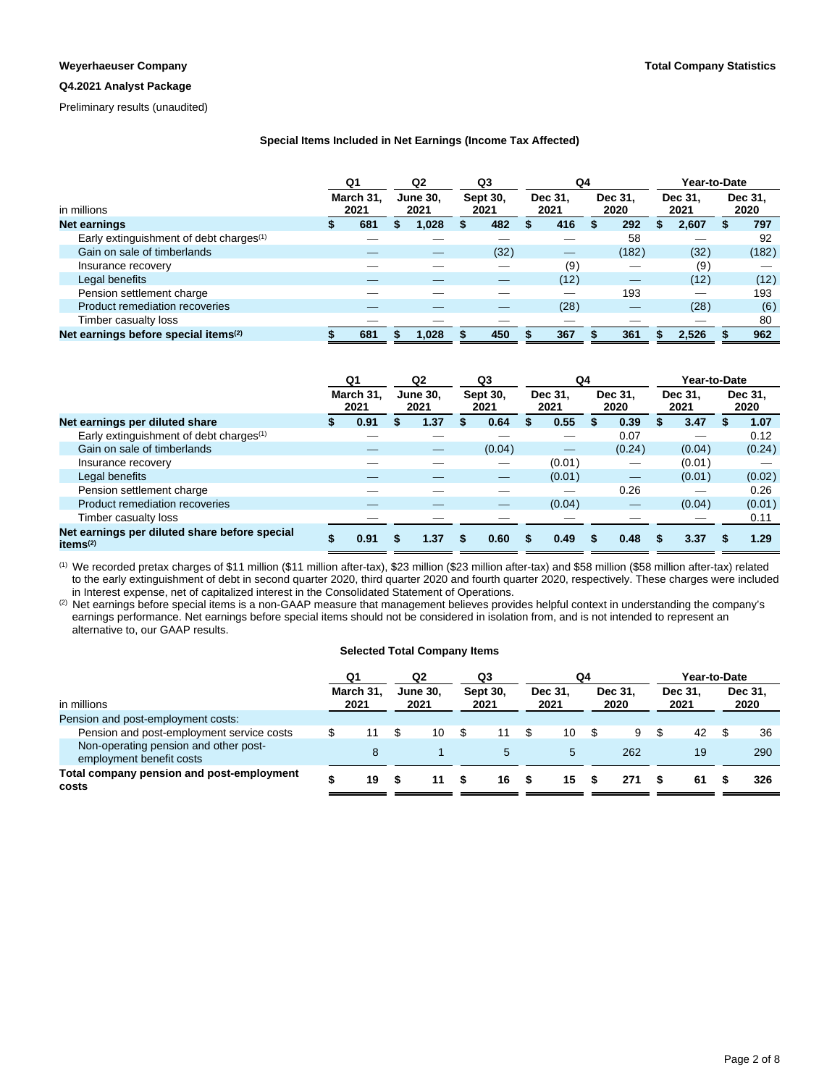### **Q4.2021 Analyst Package**

Preliminary results (unaudited)

### **Special Items Included in Net Earnings (Income Tax Affected)**

|                                                     | Q1                | Q2                      | Q3                      |                 | Q4   |                 | Year-to-Date    |                 |
|-----------------------------------------------------|-------------------|-------------------------|-------------------------|-----------------|------|-----------------|-----------------|-----------------|
| in millions                                         | March 31.<br>2021 | <b>June 30.</b><br>2021 | <b>Sept 30.</b><br>2021 | Dec 31.<br>2021 |      | Dec 31.<br>2020 | Dec 31.<br>2021 | Dec 31.<br>2020 |
| Net earnings                                        | 681               | .028                    | 482                     |                 | 416  | 292             | 2.607           | 797             |
| Early extinguishment of debt charges <sup>(1)</sup> |                   |                         |                         |                 |      | 58              |                 | 92              |
| Gain on sale of timberlands                         |                   | __                      | (32)                    |                 |      | (182)           | (32)            | (182)           |
| Insurance recovery                                  |                   |                         |                         |                 | (9)  |                 | (9)             |                 |
| Legal benefits                                      |                   |                         |                         |                 | (12) |                 | (12)            | (12)            |
| Pension settlement charge                           |                   |                         |                         |                 |      | 193             |                 | 193             |
| Product remediation recoveries                      |                   |                         |                         |                 | (28) |                 | (28)            | (6)             |
| Timber casualty loss                                |                   |                         |                         |                 |      |                 |                 | 80              |
| Net earnings before special items <sup>(2)</sup>    | 681               | 1,028                   | 450                     |                 | 367  | 361             | 2,526           | 962             |

|                                                              | Q <sub>1</sub>    | Q2                      | Q3                      | Q4              |                 | Year-to-Date    |                 |
|--------------------------------------------------------------|-------------------|-------------------------|-------------------------|-----------------|-----------------|-----------------|-----------------|
|                                                              | March 31.<br>2021 | <b>June 30.</b><br>2021 | <b>Sept 30.</b><br>2021 | Dec 31,<br>2021 | Dec 31.<br>2020 | Dec 31.<br>2021 | Dec 31,<br>2020 |
| Net earnings per diluted share                               | 0.91              | 1.37                    | 0.64                    | 0.55            | 0.39            | 3.47            | 1.07            |
| Early extinguishment of debt charges <sup>(1)</sup>          |                   |                         |                         |                 | 0.07            |                 | 0.12            |
| Gain on sale of timberlands                                  |                   |                         | (0.04)                  |                 | (0.24)          | (0.04)          | (0.24)          |
| Insurance recovery                                           |                   |                         |                         | (0.01)          |                 | (0.01)          |                 |
| Legal benefits                                               |                   |                         |                         | (0.01)          |                 | (0.01)          | (0.02)          |
| Pension settlement charge                                    |                   |                         |                         |                 | 0.26            |                 | 0.26            |
| Product remediation recoveries                               |                   |                         |                         | (0.04)          |                 | (0.04)          | (0.01)          |
| Timber casualty loss                                         |                   |                         |                         |                 |                 |                 | 0.11            |
| Net earnings per diluted share before special<br>items $(2)$ | 0.91              | 1.37                    | 0.60                    | 0.49            | 0.48            | 3.37            | 1.29            |

(1) We recorded pretax charges of \$11 million (\$11 million after-tax), \$23 million (\$23 million after-tax) and \$58 million (\$58 million after-tax) related to the early extinguishment of debt in second quarter 2020, third quarter 2020 and fourth quarter 2020, respectively. These charges were included in Interest expense, net of capitalized interest in the Consolidated Statement of Operations.

(2) Net earnings before special items is a non-GAAP measure that management believes provides helpful context in understanding the company's earnings performance. Net earnings before special items should not be considered in isolation from, and is not intended to represent an alternative to, our GAAP results.

### **Selected Total Company Items**

|                                                                   | Q1                | Q2                      | Q3                      | Q4              |                 | Year-to-Date    |                 |
|-------------------------------------------------------------------|-------------------|-------------------------|-------------------------|-----------------|-----------------|-----------------|-----------------|
| in millions                                                       | March 31.<br>2021 | <b>June 30.</b><br>2021 | <b>Sept 30.</b><br>2021 | Dec 31.<br>2021 | Dec 31.<br>2020 | Dec 31.<br>2021 | Dec 31.<br>2020 |
| Pension and post-employment costs:                                |                   |                         |                         |                 |                 |                 |                 |
| Pension and post-employment service costs                         |                   | 10                      |                         | 10              | 9               | 42              | 36              |
| Non-operating pension and other post-<br>employment benefit costs | 8                 |                         | 5                       | 5               | 262             | 19              | 290             |
| Total company pension and post-employment<br>costs                | 19                |                         | 16                      | 15              | 271             | 61              | 326             |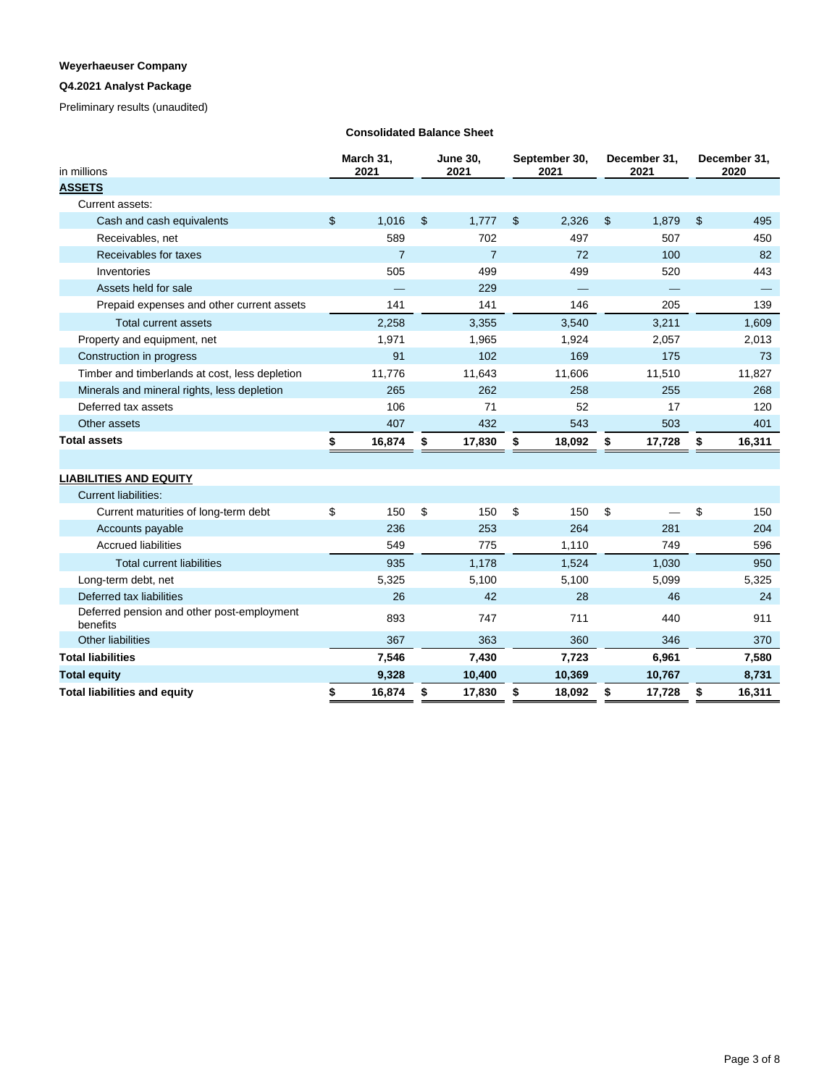# **Weyerhaeuser Company**

# **Q4.2021 Analyst Package**

Preliminary results (unaudited)

# **Consolidated Balance Sheet**

| in millions                                            | March 31,<br>2021 |                | <b>June 30,</b><br>2021 | September 30,<br>2021 |                | December 31,<br>2021 |                | December 31,<br>2020 |
|--------------------------------------------------------|-------------------|----------------|-------------------------|-----------------------|----------------|----------------------|----------------|----------------------|
| <b>ASSETS</b>                                          |                   |                |                         |                       |                |                      |                |                      |
| Current assets:                                        |                   |                |                         |                       |                |                      |                |                      |
| Cash and cash equivalents                              | \$<br>1,016       | $\mathfrak{L}$ | 1,777                   | \$<br>2,326           | $\mathfrak{L}$ | 1,879                | $\mathfrak{s}$ | 495                  |
| Receivables, net                                       | 589               |                | 702                     | 497                   |                | 507                  |                | 450                  |
| Receivables for taxes                                  | $\overline{7}$    |                | $\overline{7}$          | 72                    |                | 100                  |                | 82                   |
| Inventories                                            | 505               |                | 499                     | 499                   |                | 520                  |                | 443                  |
| Assets held for sale                                   |                   |                | 229                     |                       |                |                      |                |                      |
| Prepaid expenses and other current assets              | 141               |                | 141                     | 146                   |                | 205                  |                | 139                  |
| <b>Total current assets</b>                            | 2,258             |                | 3,355                   | 3,540                 |                | 3,211                |                | 1,609                |
| Property and equipment, net                            | 1,971             |                | 1,965                   | 1,924                 |                | 2,057                |                | 2,013                |
| Construction in progress                               | 91                |                | 102                     | 169                   |                | 175                  |                | 73                   |
| Timber and timberlands at cost, less depletion         | 11,776            |                | 11,643                  | 11,606                |                | 11,510               |                | 11,827               |
| Minerals and mineral rights, less depletion            | 265               |                | 262                     | 258                   |                | 255                  |                | 268                  |
| Deferred tax assets                                    | 106               |                | 71                      | 52                    |                | 17                   |                | 120                  |
| Other assets                                           | 407               |                | 432                     | 543                   |                | 503                  |                | 401                  |
| <b>Total assets</b>                                    | \$<br>16,874      | \$             | 17,830                  | \$<br>18,092          | \$             | 17,728               | \$             | 16,311               |
|                                                        |                   |                |                         |                       |                |                      |                |                      |
| <b>LIABILITIES AND EQUITY</b>                          |                   |                |                         |                       |                |                      |                |                      |
| <b>Current liabilities:</b>                            |                   |                |                         |                       |                |                      |                |                      |
| Current maturities of long-term debt                   | \$<br>150         | \$             | 150                     | \$<br>150             | \$             |                      | \$             | 150                  |
| Accounts payable                                       | 236               |                | 253                     | 264                   |                | 281                  |                | 204                  |
| <b>Accrued liabilities</b>                             | 549               |                | 775                     | 1,110                 |                | 749                  |                | 596                  |
| <b>Total current liabilities</b>                       | 935               |                | 1,178                   | 1,524                 |                | 1,030                |                | 950                  |
| Long-term debt, net                                    | 5,325             |                | 5,100                   | 5,100                 |                | 5,099                |                | 5,325                |
| Deferred tax liabilities                               | 26                |                | 42                      | 28                    |                | 46                   |                | 24                   |
| Deferred pension and other post-employment<br>benefits | 893               |                | 747                     | 711                   |                | 440                  |                | 911                  |
| <b>Other liabilities</b>                               | 367               |                | 363                     | 360                   |                | 346                  |                | 370                  |
| <b>Total liabilities</b>                               | 7,546             |                | 7,430                   | 7,723                 |                | 6,961                |                | 7,580                |
| <b>Total equity</b>                                    | 9,328             |                | 10,400                  | 10,369                |                | 10,767               |                | 8,731                |
| <b>Total liabilities and equity</b>                    | \$<br>16,874      | S              | 17,830                  | \$<br>18,092          | \$             | 17,728               | \$             | 16,311               |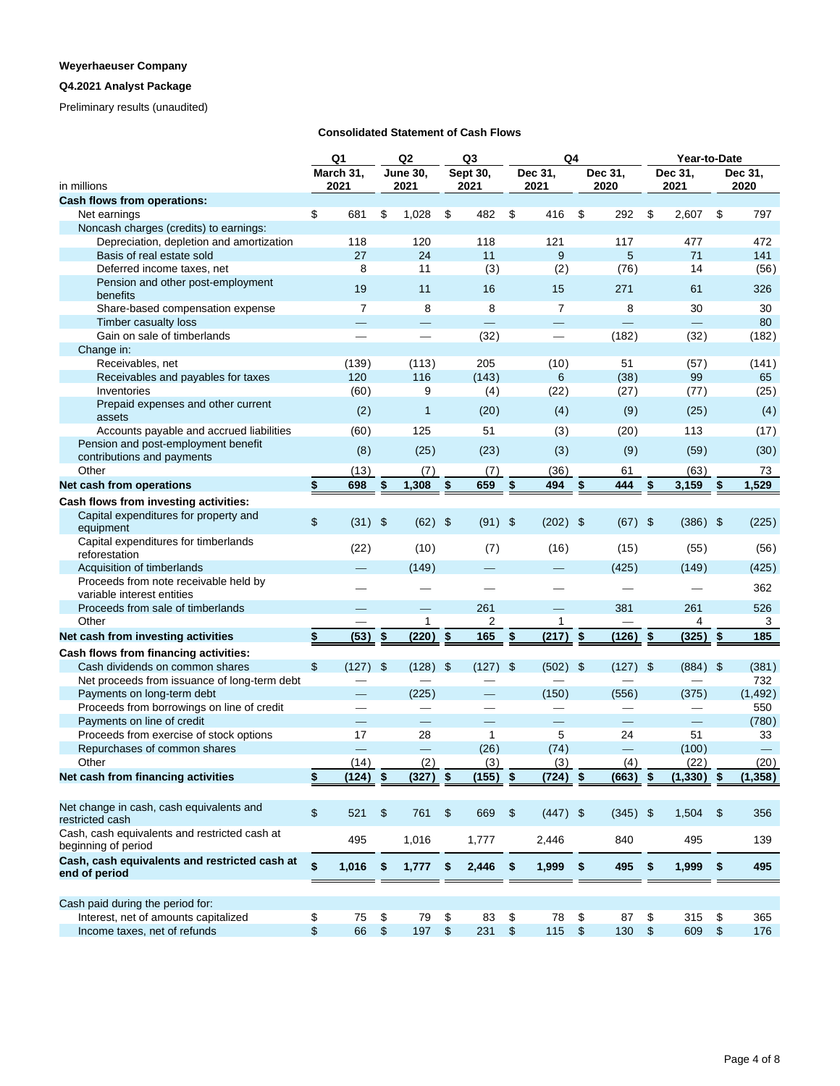# **Weyerhaeuser Company**

# **Q4.2021 Analyst Package**

Preliminary results (unaudited)

# **Consolidated Statement of Cash Flows**

|                                                                      |                | Q <sub>1</sub>           |            | Q <sub>2</sub>          |               | Q <sub>3</sub>   |                         | Q4              |                |                 |                            | Year-to-Date    |                         |                   |
|----------------------------------------------------------------------|----------------|--------------------------|------------|-------------------------|---------------|------------------|-------------------------|-----------------|----------------|-----------------|----------------------------|-----------------|-------------------------|-------------------|
| in millions                                                          |                | March 31,<br>2021        |            | <b>June 30,</b><br>2021 |               | Sept 30,<br>2021 |                         | Dec 31,<br>2021 |                | Dec 31,<br>2020 |                            | Dec 31,<br>2021 |                         | Dec 31,<br>2020   |
| Cash flows from operations:                                          |                |                          |            |                         |               |                  |                         |                 |                |                 |                            |                 |                         |                   |
| Net earnings                                                         | \$             | 681                      | \$         | 1,028                   | \$            | 482              | \$                      | 416             | \$             | 292             | \$                         | 2,607           | \$                      | 797               |
| Noncash charges (credits) to earnings:                               |                |                          |            |                         |               |                  |                         |                 |                |                 |                            |                 |                         |                   |
| Depreciation, depletion and amortization                             |                | 118                      |            | 120                     |               | 118              |                         | 121             |                | 117             |                            | 477             |                         | 472               |
| Basis of real estate sold                                            |                | 27                       |            | 24                      |               | 11               |                         | 9               |                | 5               |                            | 71              |                         | 141               |
| Deferred income taxes, net                                           |                | 8                        |            | 11                      |               | (3)              |                         | (2)             |                | (76)            |                            | 14              |                         | (56)              |
| Pension and other post-employment<br>benefits                        |                | 19                       |            | 11                      |               | 16               |                         | 15              |                | 271             |                            | 61              |                         | 326               |
| Share-based compensation expense                                     |                | $\overline{7}$           |            | 8                       |               | 8                |                         | $\overline{7}$  |                | 8               |                            | 30              |                         | 30                |
| <b>Timber casualty loss</b>                                          |                |                          |            |                         |               |                  |                         |                 |                |                 |                            |                 |                         | 80                |
| Gain on sale of timberlands                                          |                | $\overline{\phantom{0}}$ |            | $\equiv$                |               | (32)             |                         | $\equiv$        |                | (182)           |                            | (32)            |                         | (182)             |
| Change in:                                                           |                |                          |            |                         |               |                  |                         |                 |                |                 |                            |                 |                         |                   |
| Receivables, net                                                     |                | (139)                    |            | (113)                   |               | 205              |                         | (10)            |                | 51              |                            | (57)            |                         | (141)             |
| Receivables and payables for taxes                                   |                | 120                      |            | 116                     |               | (143)            |                         | 6               |                | (38)            |                            | 99              |                         | 65                |
| Inventories                                                          |                | (60)                     |            | 9                       |               | (4)              |                         | (22)            |                | (27)            |                            | (77)            |                         | (25)              |
| Prepaid expenses and other current<br>assets                         |                | (2)                      |            | 1                       |               | (20)             |                         | (4)             |                | (9)             |                            | (25)            |                         | (4)               |
| Accounts payable and accrued liabilities                             |                | (60)                     |            | 125                     |               | 51               |                         | (3)             |                | (20)            |                            | 113             |                         | (17)              |
| Pension and post-employment benefit<br>contributions and payments    |                | (8)                      |            | (25)                    |               | (23)             |                         | (3)             |                | (9)             |                            | (59)            |                         | (30)              |
| Other                                                                |                | (13)                     |            | (7)                     |               | (7)              |                         | (36)            |                | 61              |                            | (63)            |                         | 73                |
| Net cash from operations                                             | \$             | 698                      | \$         | 1,308                   | \$            | 659              | \$                      | 494             | \$             | 444             | \$                         | 3,159           | \$                      | 1,529             |
| Cash flows from investing activities:                                |                |                          |            |                         |               |                  |                         |                 |                |                 |                            |                 |                         |                   |
| Capital expenditures for property and<br>equipment                   | \$             | $(31)$ \$                |            | $(62)$ \$               |               | $(91)$ \$        |                         | $(202)$ \$      |                | (67)            | $\sqrt[6]{3}$              | $(386)$ \$      |                         | (225)             |
| Capital expenditures for timberlands<br>reforestation                |                | (22)                     |            | (10)                    |               | (7)              |                         | (16)            |                | (15)            |                            | (55)            |                         | (56)              |
| Acquisition of timberlands                                           |                |                          |            | (149)                   |               |                  |                         |                 |                | (425)           |                            | (149)           |                         | (425)             |
| Proceeds from note receivable held by<br>variable interest entities  |                |                          |            |                         |               |                  |                         |                 |                |                 |                            |                 |                         | 362               |
| Proceeds from sale of timberlands                                    |                |                          |            |                         |               | 261              |                         |                 |                | 381             |                            | 261             |                         | 526               |
| Other                                                                |                |                          |            | 1                       |               | 2                |                         | 1               |                |                 |                            | 4               |                         | 3                 |
| Net cash from investing activities                                   | \$             | (53)                     | \$         | (220)                   | \$            | 165              | $\overline{\mathbf{z}}$ | (217)           | $\frac{1}{2}$  | (126)           | \$                         | (325)           | \$                      | 185               |
| Cash flows from financing activities:                                |                |                          |            |                         |               |                  |                         |                 |                |                 |                            |                 |                         |                   |
| Cash dividends on common shares                                      | $\mathfrak{S}$ | (127)                    | \$         | (128)                   | \$            | (127)            | \$                      | $(502)$ \$      |                | (127)           | $\boldsymbol{\mathsf{\$}}$ | $(884)$ \$      |                         | (381)             |
| Net proceeds from issuance of long-term debt                         |                | $\overline{\phantom{0}}$ |            |                         |               |                  |                         |                 |                |                 |                            |                 |                         | 732               |
| Payments on long-term debt                                           |                | $\equiv$                 |            | (225)                   |               |                  |                         | (150)           |                | (556)           |                            | (375)           |                         | (1, 492)          |
| Proceeds from borrowings on line of credit                           |                | $\overline{\phantom{0}}$ |            |                         |               |                  |                         |                 |                |                 |                            |                 |                         | 550               |
| Payments on line of credit                                           |                | $\equiv$                 |            |                         |               |                  |                         |                 |                |                 |                            | $\equiv$        |                         | (780)             |
| Proceeds from exercise of stock options                              |                | 17                       |            | 28                      |               | $\mathbf{1}$     |                         | 5               |                | 24              |                            | 51              |                         | 33                |
| Repurchases of common shares                                         |                | $\equiv$                 |            |                         |               | (26)             |                         | (74)            |                | $\equiv$        |                            | (100)           |                         | $\qquad \qquad -$ |
| Other                                                                |                | (14)                     |            | (2)                     |               | (3)              |                         | (3)             |                | (4)             |                            | (22)            |                         | (20)              |
| Net cash from financing activities                                   | \$             | (124)                    | \$         | (327)                   | \$            | (155)            | \$                      | (724)           | $\frac{1}{2}$  | (663)           | \$                         | (1, 330)        | \$                      | (1, 358)          |
|                                                                      |                |                          |            |                         |               |                  |                         |                 |                |                 |                            |                 |                         |                   |
| Net change in cash, cash equivalents and<br>restricted cash          | $\,$           | 521                      | \$         | 761                     | $\frac{1}{2}$ | 669              | $\frac{1}{2}$           | $(447)$ \$      |                | $(345)$ \$      |                            | 1,504           | \$                      | 356               |
| Cash, cash equivalents and restricted cash at<br>beginning of period |                | 495                      |            | 1,016                   |               | 1,777            |                         | 2,446           |                | 840             |                            | 495             |                         | 139               |
| Cash, cash equivalents and restricted cash at                        |                |                          |            |                         |               |                  |                         |                 |                |                 |                            |                 |                         |                   |
| end of period                                                        | \$             | 1,016                    | \$         | 1,777                   | \$            | 2,446            | \$                      | 1,999           | \$             | 495             | \$                         | 1,999           | \$                      | 495               |
|                                                                      |                |                          |            |                         |               |                  |                         |                 |                |                 |                            |                 |                         |                   |
| Cash paid during the period for:                                     |                |                          |            |                         |               |                  |                         |                 |                |                 |                            |                 |                         |                   |
| Interest, net of amounts capitalized                                 | \$             | 75                       | \$         | 79                      | \$            | 83               | \$                      | 78              | \$             | 87              | \$                         | 315             | \$                      | 365               |
| Income taxes, net of refunds                                         | \$             | 66                       | $\sqrt{3}$ | 197 \$                  |               | 231              | $\sqrt[6]{\frac{1}{2}}$ | 115             | $\mathfrak{s}$ | 130             | $\boldsymbol{\mathsf{S}}$  | 609             | $\sqrt[6]{\frac{1}{2}}$ | 176               |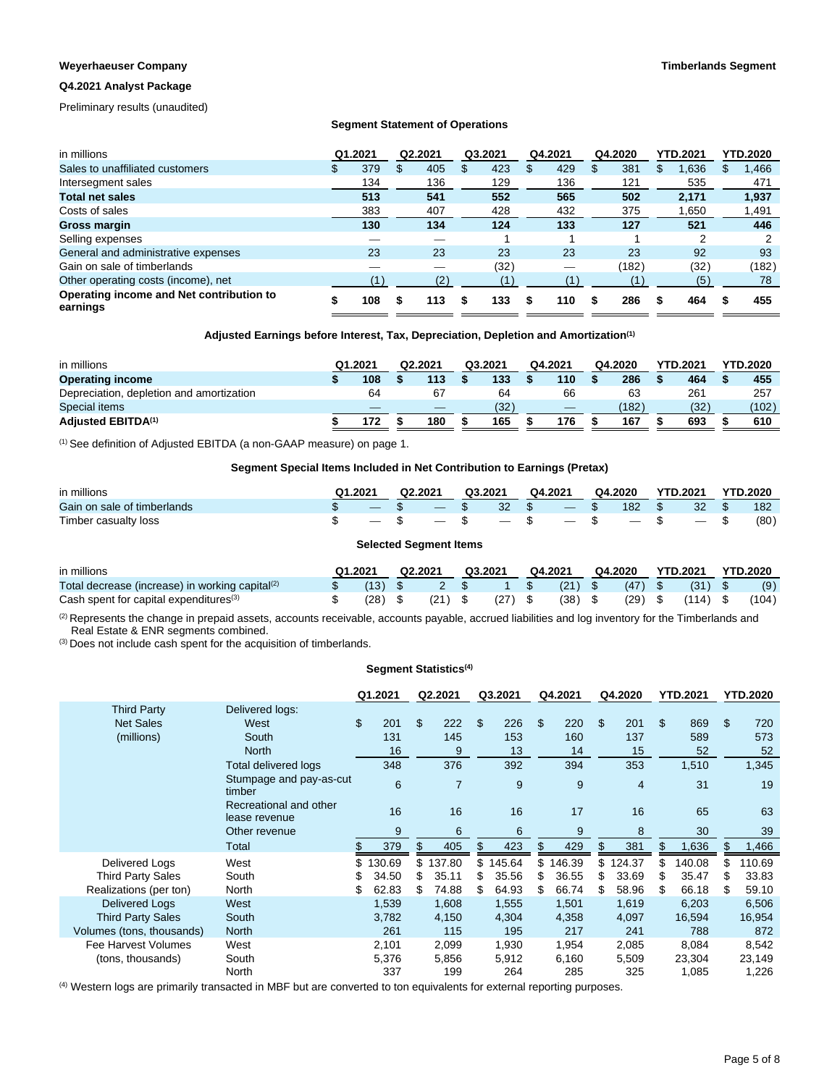### **Weyerhaeuser Company Timberlands Segment**

## **Q4.2021 Analyst Package**

Preliminary results (unaudited)

### **Segment Statement of Operations**

| in millions                                          |   | Q1.2021 | Q2.2021 |   | Q3.2021 | Q4.2021 |   | Q4.2020 | YTD.2021 | <b>YTD.2020</b> |
|------------------------------------------------------|---|---------|---------|---|---------|---------|---|---------|----------|-----------------|
| Sales to unaffiliated customers                      |   | 379     | 405     |   | 423     | 429     | æ | 381     | .636     | 1.466           |
| Intersegment sales                                   |   | 134     | 136     |   | 129     | 136     |   | 121     | 535      | 471             |
| <b>Total net sales</b>                               |   | 513     | 541     |   | 552     | 565     |   | 502     | 2.171    | 1,937           |
| Costs of sales                                       |   | 383     | 407     |   | 428     | 432     |   | 375     | 1,650    | 1,491           |
| Gross margin                                         |   | 130     | 134     |   | 124     | 133     |   | 127     | 521      | 446             |
| Selling expenses                                     |   |         |         |   |         |         |   |         |          |                 |
| General and administrative expenses                  |   | 23      | 23      |   | 23      | 23      |   | 23      | 92       | 93              |
| Gain on sale of timberlands                          |   |         |         |   | (32)    |         |   | (182)   | (32)     | (182)           |
| Other operating costs (income), net                  |   |         | (2)     |   |         |         |   |         | (5)      | 78              |
| Operating income and Net contribution to<br>earnings | æ | 108     | 113     | S | 133     | 110     | S | 286     | 464      | 455             |

**Adjusted Earnings before Interest, Tax, Depreciation, Depletion and Amortization(1)**

| in millions                              | Q1.2021 |     | Q2.2021 |     | Q3.2021 |      | Q4.2021 |     | Q4.2020 | <b>YTD.2021</b> | <b>YTD.2020</b> |
|------------------------------------------|---------|-----|---------|-----|---------|------|---------|-----|---------|-----------------|-----------------|
| <b>Operating income</b>                  |         | 108 |         |     |         | 133  |         | 110 | 286     | 464             | 455             |
| Depreciation, depletion and amortization |         | 64  |         | 67  |         | 64   |         | 66  | 63      | 261             | 257             |
| Special items                            |         |     |         |     |         | (32) |         |     | (182)   | (32)            | (102)           |
| <b>Adjusted EBITDA(1)</b>                |         | 172 |         | 180 |         | 165  |         | 176 | 167     | 693             | 610             |

(1) See definition of Adjusted EBITDA (a non-GAAP measure) on page 1.

**Segment Special Items Included in Net Contribution to Earnings (Pretax)**

| in millions                 | Q1.2021 | Q2.2021 | Q3.2021 |                                                                                                                                                                                          |  |  |  |  |
|-----------------------------|---------|---------|---------|------------------------------------------------------------------------------------------------------------------------------------------------------------------------------------------|--|--|--|--|
| Gain on sale of timberlands |         |         |         | $\texttt{S}$ $-$ \$ $-$ \$ 32 \$ $-$ \$ 182 \$ 32 \$ 182                                                                                                                                 |  |  |  |  |
| Timber casualty loss        |         |         |         | $\texttt{\$} \quad - \texttt{\$} \quad - \texttt{\$} \quad - \texttt{\$} \quad - \texttt{\$} \quad - \texttt{\$} \quad - \texttt{\$} \quad - \texttt{\$} \quad - \texttt{\$} \quad (80)$ |  |  |  |  |

### **Selected Segment Items**

| in millions                                                 | Q1.2021 | Q2.2021 | Q3.2021 | Q4.2021 |  | Q4.2020 YTD.2021 |                                             | <b>YTD.2020</b>                                                      |
|-------------------------------------------------------------|---------|---------|---------|---------|--|------------------|---------------------------------------------|----------------------------------------------------------------------|
| Total decrease (increase) in working capital <sup>(2)</sup> |         |         |         |         |  |                  | $(13)$ \$ 2 \$ 1 \$ (21) \$ (47) \$ (31) \$ | (9)                                                                  |
| Cash spent for capital expenditures $(3)$                   |         |         |         |         |  |                  |                                             | $(28)$ \$ $(21)$ \$ $(27)$ \$ $(38)$ \$ $(29)$ \$ $(114)$ \$ $(104)$ |

(2) Represents the change in prepaid assets, accounts receivable, accounts payable, accrued liabilities and log inventory for the Timberlands and Real Estate & ENR segments combined.

(3) Does not include cash spent for the acquisition of timberlands.

### **Segment Statistics(4)**

|                           |                                         | Q1.2021      |                | Q2.2021        |                | Q3.2021 | Q4.2021      |     | Q4.2020        |                | <b>YTD.2021</b> |                | <b>YTD.2020</b> |
|---------------------------|-----------------------------------------|--------------|----------------|----------------|----------------|---------|--------------|-----|----------------|----------------|-----------------|----------------|-----------------|
| <b>Third Party</b>        | Delivered logs:                         |              |                |                |                |         |              |     |                |                |                 |                |                 |
| <b>Net Sales</b>          | West                                    | \$<br>201    | $\mathfrak{L}$ | 222            | $\mathfrak{L}$ | 226     | \$<br>220    | \$  | 201            | $\mathfrak{L}$ | 869             | $\mathfrak{L}$ | 720             |
| (millions)                | South                                   | 131          |                | 145            |                | 153     | 160          |     | 137            |                | 589             |                | 573             |
|                           | <b>North</b>                            | 16           |                | 9              |                | 13      | 14           |     | 15             |                | 52              |                | 52              |
|                           | Total delivered logs                    | 348          |                | 376            |                | 392     | 394          |     | 353            |                | 1,510           |                | 1,345           |
|                           | Stumpage and pay-as-cut<br>timber       | 6            |                | $\overline{7}$ |                | 9       | 9            |     | $\overline{4}$ |                | 31              |                | 19              |
|                           | Recreational and other<br>lease revenue | 16           |                | 16             |                | 16      | 17           |     | 16             |                | 65              |                | 63              |
|                           | Other revenue                           | 9            |                | 6              |                | 6       | 9            |     | 8              |                | 30              |                | 39              |
|                           | Total                                   | 379          | \$             | 405            |                | 423     | \$<br>429    | \$. | 381            |                | 1,636           |                | .466            |
| Delivered Logs            | West                                    | \$<br>130.69 | \$             | 137.80         | \$.            | 145.64  | \$<br>146.39 | \$  | 124.37         |                | 140.08          | \$             | 110.69          |
| <b>Third Party Sales</b>  | South                                   | \$<br>34.50  | \$             | 35.11          |                | 35.56   | \$<br>36.55  | \$  | 33.69          |                | 35.47           | \$             | 33.83           |
| Realizations (per ton)    | North                                   | \$<br>62.83  | \$             | 74.88          | S              | 64.93   | \$<br>66.74  | S   | 58.96          | S              | 66.18           | S              | 59.10           |
| <b>Delivered Logs</b>     | West                                    | 1,539        |                | 1,608          |                | 1,555   | 1,501        |     | 1,619          |                | 6,203           |                | 6,506           |
| <b>Third Party Sales</b>  | South                                   | 3,782        |                | 4,150          |                | 4,304   | 4,358        |     | 4,097          |                | 16,594          |                | 16,954          |
| Volumes (tons, thousands) | <b>North</b>                            | 261          |                | 115            |                | 195     | 217          |     | 241            |                | 788             |                | 872             |
| Fee Harvest Volumes       | West                                    | 2,101        |                | 2,099          |                | 1,930   | 1,954        |     | 2,085          |                | 8,084           |                | 8,542           |
| (tons, thousands)         | South                                   | 5,376        |                | 5,856          |                | 5,912   | 6,160        |     | 5,509          |                | 23,304          |                | 23,149          |
|                           | North                                   | 337          |                | 199            |                | 264     | 285          |     | 325            |                | 1,085           |                | 1,226           |

(4) Western logs are primarily transacted in MBF but are converted to ton equivalents for external reporting purposes.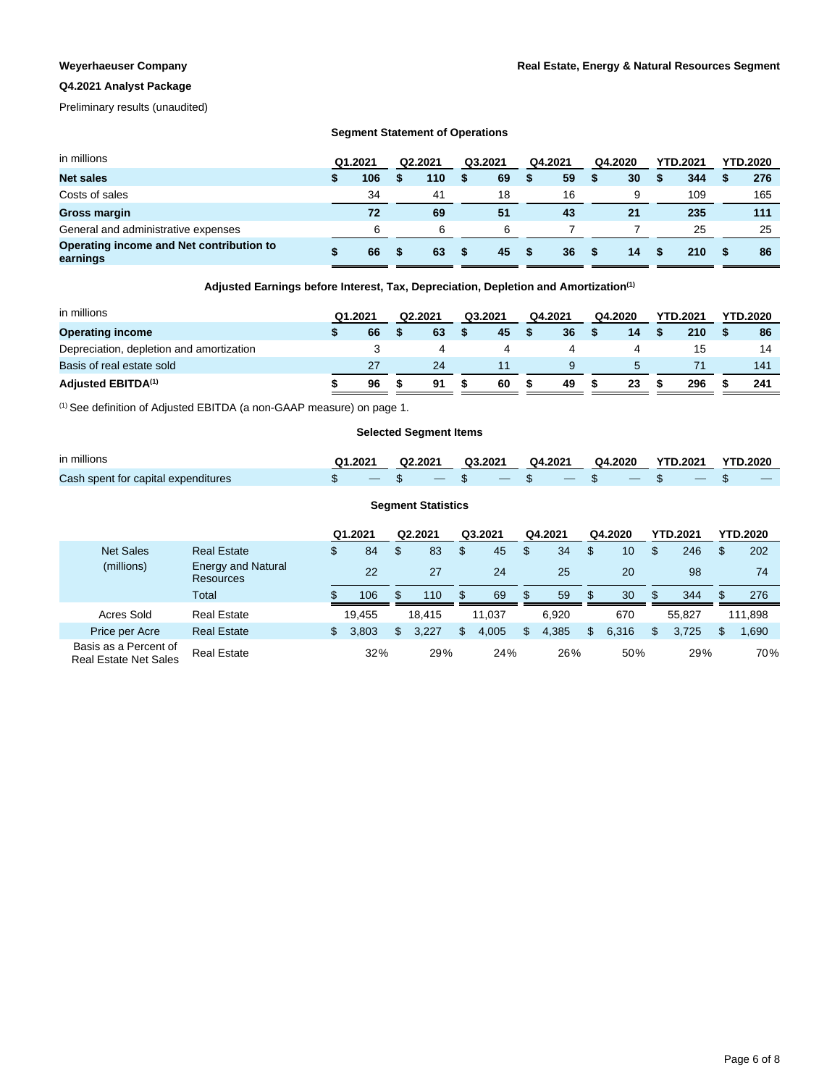# **Q4.2021 Analyst Package**

Preliminary results (unaudited)

## **Segment Statement of Operations**

| in millions                                          | Q1.2021 | Q2.2021 | Q3.2021 | Q4.2021 |   | Q4.2020 | <b>YTD.2021</b> | <b>YTD.2020</b> |
|------------------------------------------------------|---------|---------|---------|---------|---|---------|-----------------|-----------------|
| <b>Net sales</b>                                     | 106     | 110     | 69      | 59      | S | 30      | 344             | 276             |
| Costs of sales                                       | 34      | 41      | 18      | 16      |   | 9       | 109             | 165             |
| Gross margin                                         | 72      | 69      | 51      | 43      |   | 21      | 235             | 111             |
| General and administrative expenses                  | 6       | 6       | 6       |         |   |         | 25              | 25              |
| Operating income and Net contribution to<br>earnings | 66      | 63      | 45      | 36      |   | 14      | 210             | 86              |

**Adjusted Earnings before Interest, Tax, Depreciation, Depletion and Amortization(1)**

| in millions                              | Q1.2021 |    | Q2.2021 |    | Q3.2021 |    | Q4.2021 |    | Q4.2020 |    | <b>YTD.2021</b> | <b>YTD.2020</b> |
|------------------------------------------|---------|----|---------|----|---------|----|---------|----|---------|----|-----------------|-----------------|
| <b>Operating income</b>                  |         | 66 |         | 63 |         | 45 |         | 36 |         | 14 | 210             | 86              |
| Depreciation, depletion and amortization |         |    |         |    |         | 4  |         |    |         |    | 15              | 14              |
| Basis of real estate sold                |         | 27 |         | 24 |         |    |         | a  |         |    |                 | 141             |
| <b>Adjusted EBITDA(1)</b>                |         | 96 |         | 91 |         | 60 |         | 49 |         | 23 | 296             | 241             |

(1) See definition of Adjusted EBITDA (a non-GAAP measure) on page 1.

## **Selected Segment Items**

| in millions                                                                    |  |  |  |  |  | Q1.2021  Q2.2021  Q3.2021  Q4.2021  Q4.2020  YTD.2021  YTD.2020 |  |  |
|--------------------------------------------------------------------------------|--|--|--|--|--|-----------------------------------------------------------------|--|--|
| - \$ - \$ - \$ - \$ - \$ - \$ - \$ - \$<br>Cash spent for capital expenditures |  |  |  |  |  |                                                                 |  |  |

# **Segment Statistics**

|                                                       |                                               |    | Q1.2021 |     | Q2.2021 |     | Q3.2021 |               | Q4.2021 |    | Q4.2020 |     | <b>YTD.2021</b> |   | <b>YTD.2020</b> |
|-------------------------------------------------------|-----------------------------------------------|----|---------|-----|---------|-----|---------|---------------|---------|----|---------|-----|-----------------|---|-----------------|
| <b>Net Sales</b>                                      | <b>Real Estate</b>                            | \$ | 84      | ъ   | 83      | \$  | 45      | <sup>\$</sup> | 34      | S  | 10      | \$  | 246             | S | 202             |
| (millions)                                            | <b>Energy and Natural</b><br><b>Resources</b> |    | 22      |     | 27      |     | 24      |               | 25      |    | 20      |     | 98              |   | 74              |
|                                                       | <b>Total</b>                                  | S  | 106     | \$  | 110     | \$  | 69      | \$            | 59      |    | 30      | \$  | 344             | S | 276             |
| Acres Sold                                            | <b>Real Estate</b>                            |    | 19.455  |     | 18.415  |     | 11.037  |               | 6.920   |    | 670     |     | 55.827          |   | 111,898         |
| Price per Acre                                        | <b>Real Estate</b>                            | \$ | 3.803   | \$. | 3.227   | \$. | 4.005   | \$.           | 4.385   | \$ | 6.316   | \$. | 3.725           | S | 1,690           |
| Basis as a Percent of<br><b>Real Estate Net Sales</b> | <b>Real Estate</b>                            |    | 32%     |     | 29%     |     | 24%     |               | 26%     |    | 50%     |     | 29%             |   | 70%             |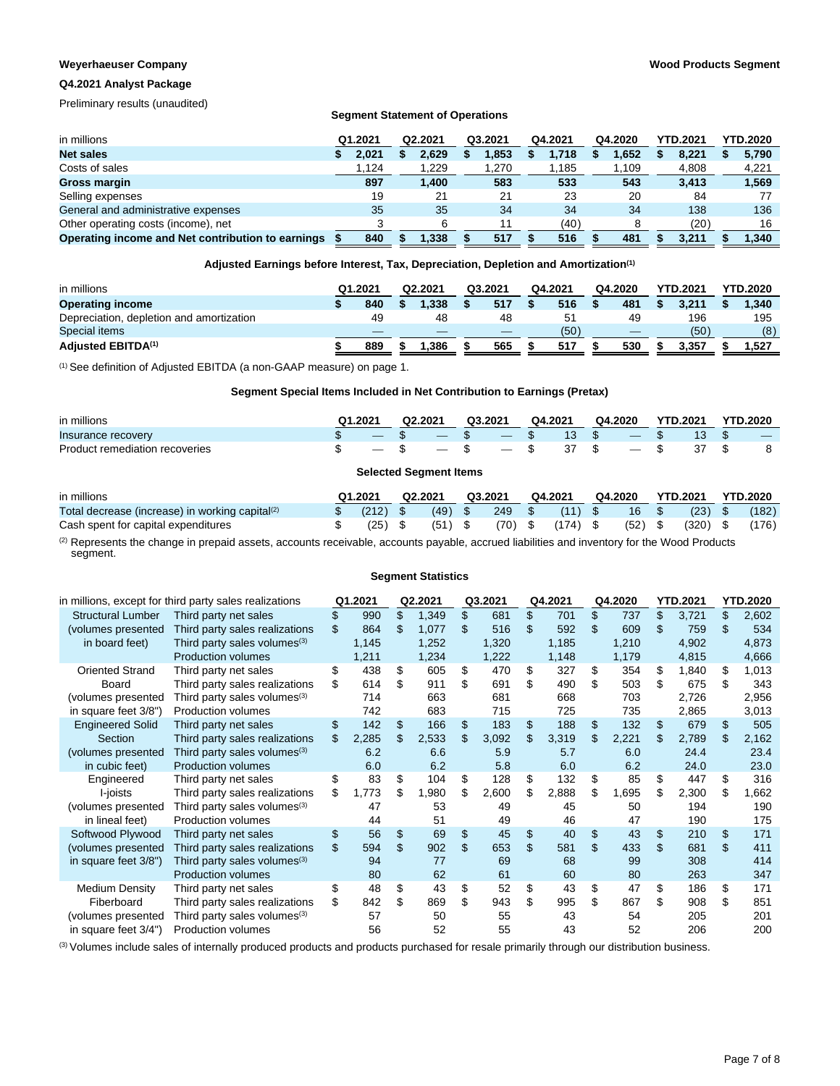## **Weyerhaeuser Company Wood Products Segment**

# **Q4.2021 Analyst Package**

Preliminary results (unaudited)

### **Segment Statement of Operations**

| in millions                                       | Q1.2021 | Q2.2021 | Q3.2021 | Q4.2021 | Q4.2020 | <b>YTD.2021</b> | <b>YTD.2020</b> |
|---------------------------------------------------|---------|---------|---------|---------|---------|-----------------|-----------------|
| <b>Net sales</b>                                  | 2.021   | 2.629   | .853    | 1.718   | .652    | 8.221           | 5.790           |
| Costs of sales                                    | 1.124   | 1,229   | ,270    | .185    | 1,109   | 4,808           | 4,221           |
| Gross margin                                      | 897     | 1.400   | 583     | 533     | 543     | 3.413           | 1,569           |
| Selling expenses                                  | 19      | 21      | 21      | 23      | 20      | 84              |                 |
| General and administrative expenses               | 35      | 35      | 34      | 34      | 34      | 138             | 136             |
| Other operating costs (income), net               |         |         | 11      | (40)    |         | (20)            | 16              |
| Operating income and Net contribution to earnings | 840     | .338    | 517     | 516     | 481     | 3.211           | 1.340           |

**Adjusted Earnings before Interest, Tax, Depreciation, Depletion and Amortization(1)**

| in millions                              | Q1.2021 |     | Q2.2021 | Q3.2021 | Q4.2021 | Q4.2020 | <b>YTD.2021</b> | <b>YTD.2020</b> |
|------------------------------------------|---------|-----|---------|---------|---------|---------|-----------------|-----------------|
| <b>Operating income</b>                  |         | 840 | .338    | 517     | 516     | 481     | 3.211           | 1.340           |
| Depreciation, depletion and amortization |         | 49  | 48      | 48      | 51      | 49      | 196             | 195             |
| Special items                            |         |     |         |         | (50)    |         | (50)            | (8)             |
| <b>Adjusted EBITDA(1)</b>                |         | 889 | .386    | 565     | 517     | 530     | 3.357           | 1,527           |

(1) See definition of Adjusted EBITDA (a non-GAAP measure) on page 1.

### **Segment Special Items Included in Net Contribution to Earnings (Pretax)**

| in millions                    | Q1.2021 | Q2.2021 | Q3.2021                                 | Q4.2021 | Q4.2020 | <b>YTD.2021</b> | <b>YTD.2020</b> |                                   |
|--------------------------------|---------|---------|-----------------------------------------|---------|---------|-----------------|-----------------|-----------------------------------|
| Insurance recovery             |         |         | $-$ \$ $-$ \$ $-$ \$ 13 \$ $-$ \$ 1     |         |         |                 | $\sim$ 13 \$    | <b>Contract Contract Contract</b> |
| Product remediation recoveries |         |         | $-$ \$ $-$ \$ $-$ \$ 37 \$ $-$ \$ 37 \$ |         |         |                 |                 |                                   |

# **Selected Segment Items**

| in millions                                                 | Q1.2021     | Q2.2021 |  | Q3.2021 | Q4.2021                                                     | Q4.2020 | YTD.2021  | <b>YTD.2020</b> |
|-------------------------------------------------------------|-------------|---------|--|---------|-------------------------------------------------------------|---------|-----------|-----------------|
| Total decrease (increase) in working capital <sup>(2)</sup> | \$ (212) \$ |         |  |         | (49) \$ 249 \$ (11) \$ 16 \$                                |         | $(23)$ \$ | (182)           |
| Cash spent for capital expenditures                         | $(25)$ \$   |         |  |         | $(51)$ \$ $(70)$ \$ $(174)$ \$ $(52)$ \$ $(320)$ \$ $(176)$ |         |           |                 |
| $\sim$                                                      |             |         |  |         |                                                             |         |           |                 |

(2) Represents the change in prepaid assets, accounts receivable, accounts payable, accrued liabilities and inventory for the Wood Products segment.

### **Segment Statistics**

|                          | in millions, except for third party sales realizations |     | Q1.2021 |                | Q2.2021 |     | Q3.2021 |     | Q4.2021 |                | Q4.2020 |     | <b>YTD.2021</b> | <b>YTD.2020</b> |
|--------------------------|--------------------------------------------------------|-----|---------|----------------|---------|-----|---------|-----|---------|----------------|---------|-----|-----------------|-----------------|
| <b>Structural Lumber</b> | Third party net sales                                  |     | 990     | \$             | 1,349   | \$  | 681     | \$  | 701     | \$             | 737     | \$  | 3,721           | \$<br>2,602     |
| (volumes presented       | Third party sales realizations                         | \$  | 864     | \$             | 1,077   | \$  | 516     | \$  | 592     | \$             | 609     | \$. | 759             | \$<br>534       |
| in board feet)           | Third party sales volumes <sup>(3)</sup>               |     | 1,145   |                | 1,252   |     | 1,320   |     | 1,185   |                | 1,210   |     | 4,902           | 4,873           |
|                          | <b>Production volumes</b>                              |     | 1,211   |                | 1,234   |     | 1,222   |     | 1,148   |                | 1,179   |     | 4,815           | 4,666           |
| <b>Oriented Strand</b>   | Third party net sales                                  | \$  | 438     | S              | 605     | \$  | 470     | \$  | 327     | \$             | 354     | S   | 1,840           | \$<br>1,013     |
| Board                    | Third party sales realizations                         |     | 614     | \$.            | 911     | \$  | 691     | \$  | 490     | \$             | 503     | \$. | 675             | \$<br>343       |
| (volumes presented       | Third party sales volumes <sup>(3)</sup>               |     | 714     |                | 663     |     | 681     |     | 668     |                | 703     |     | 2,726           | 2,956           |
| in square feet 3/8")     | <b>Production volumes</b>                              |     | 742     |                | 683     |     | 715     |     | 725     |                | 735     |     | 2,865           | 3,013           |
| <b>Engineered Solid</b>  | Third party net sales                                  | \$  | 142     | \$             | 166     | \$  | 183     | \$  | 188     | \$             | 132     | \$  | 679             | \$<br>505       |
| Section                  | Third party sales realizations                         | \$. | 2,285   | \$             | 2,533   | \$  | 3,092   | \$  | 3,319   | \$.            | 2,221   | \$. | 2,789           | \$<br>2,162     |
| (volumes presented       | Third party sales volumes <sup>(3)</sup>               |     | 6.2     |                | 6.6     |     | 5.9     |     | 5.7     |                | 6.0     |     | 24.4            | 23.4            |
| in cubic feet)           | <b>Production volumes</b>                              |     | 6.0     |                | 6.2     |     | 5.8     |     | 6.0     |                | 6.2     |     | 24.0            | 23.0            |
| Engineered               | Third party net sales                                  | \$  | 83      | \$             | 104     | \$  | 128     | \$  | 132     | \$             | 85      | \$  | 447             | \$<br>316       |
| I-joists                 | Third party sales realizations                         | \$  | 1,773   | \$             | 1,980   | \$  | 2,600   | \$  | 2,888   | \$             | 1,695   | \$  | 2,300           | \$<br>1,662     |
| (volumes presented       | Third party sales volumes <sup>(3)</sup>               |     | 47      |                | 53      |     | 49      |     | 45      |                | 50      |     | 194             | 190             |
| in lineal feet)          | <b>Production volumes</b>                              |     | 44      |                | 51      |     | 49      |     | 46      |                | 47      |     | 190             | 175             |
| Softwood Plywood         | Third party net sales                                  | \$  | 56      | \$             | 69      | \$  | 45      | \$  | 40      | $\mathfrak{L}$ | 43      | \$  | 210             | \$<br>171       |
| (volumes presented       | Third party sales realizations                         | \$  | 594     | $\mathfrak{L}$ | 902     | \$. | 653     | \$. | 581     | \$             | 433     | \$  | 681             | \$<br>411       |
| in square feet 3/8")     | Third party sales volumes <sup>(3)</sup>               |     | 94      |                | 77      |     | 69      |     | 68      |                | 99      |     | 308             | 414             |
|                          | <b>Production volumes</b>                              |     | 80      |                | 62      |     | 61      |     | 60      |                | 80      |     | 263             | 347             |
| <b>Medium Density</b>    | Third party net sales                                  | \$  | 48      | \$             | 43      | \$  | 52      | \$  | 43      | \$             | 47      | \$  | 186             | \$<br>171       |
| Fiberboard               | Third party sales realizations                         | \$  | 842     | \$             | 869     | \$  | 943     | \$  | 995     | \$             | 867     | \$  | 908             | \$<br>851       |
| (volumes presented       | Third party sales volumes <sup>(3)</sup>               |     | 57      |                | 50      |     | 55      |     | 43      |                | 54      |     | 205             | 201             |
| in square feet 3/4")     | Production volumes                                     |     | 56      |                | 52      |     | 55      |     | 43      |                | 52      |     | 206             | 200             |

(3) Volumes include sales of internally produced products and products purchased for resale primarily through our distribution business.